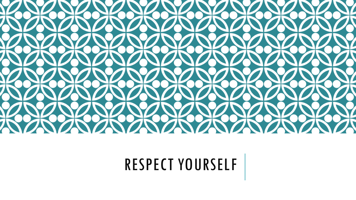

# RESPECT YOURSELF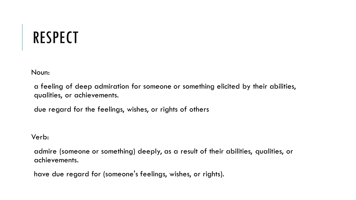# RESPECT

Noun:

a feeling of deep admiration for someone or something elicited by their abilities, qualities, or achievements.

due regard for the feelings, wishes, or rights of others

Verb:

admire (someone or something) deeply, as a result of their abilities, qualities, or achievements.

have due regard for (someone's feelings, wishes, or rights).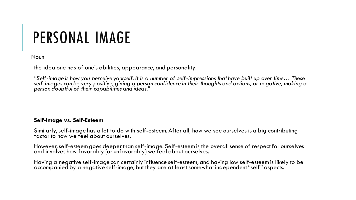### PERSONAL IMAGE

Noun

the idea one has of one's abilities, appearance, and personality.

*"Self-image is how you perceive yourself. It is a number of self-impressions that have built up over time… These self-images can be very positive, giving a person confidence in their thoughts and actions, or negative, making a person doubtful of their capabilities and ideas."*

#### **Self-Image vs. Self-Esteem**

Similarly, self-image has a lot to do with self-esteem. After all, how we see ourselves is a big contributing factor to how we feel about ourselves.

However, self-esteem goes deeper than self-image. Self-esteem is the overall sense of respect for ourselves and involves how favorably (or unfavorably) we feel about ourselves.

Having a negative self-image can certainly influence self-esteem, and having low self-esteem is likely to be accompanied by a negative self-image, but they are at least somewhat independent "self" aspects.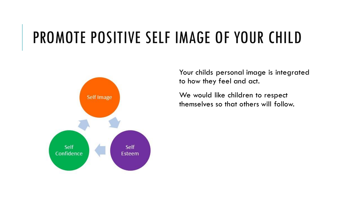### PROMOTE POSITIVE SELF IMAGE OF YOUR CHILD



Your childs personal image is integrated to how they feel and act.

We would like children to respect themselves so that others will follow.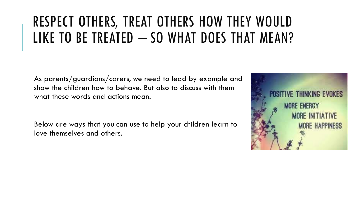### RESPECT OTHERS, TREAT OTHERS HOW THEY WOULD LIKE TO BE TREATED - SO WHAT DOES THAT MEAN?

As parents/guardians/carers, we need to lead by example and show the children how to behave. But also to discuss with them what these words and actions mean.

Below are ways that you can use to help your children learn to love themselves and others.

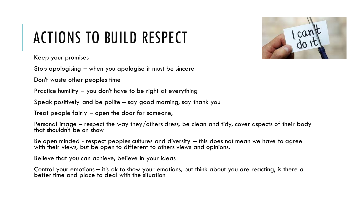# ACTIONS TO BUILD RESPECT



Keep your promises

Stop apologising – when you apologise it must be sincere

Don't waste other peoples time

Practice humility – you don't have to be right at everything

Speak positively and be polite – say good morning, say thank you

Treat people fairly – open the door for someone,

Personal image – respect the way they/others dress, be clean and tidy, cover aspects of their body that shouldn't be on show

Be open minded - respect peoples cultures and diversity – this does not mean we have to agree with their views, but be open to different to others views and opinions.

Believe that you can achieve, believe in your ideas

Control your emotions – it's ok to show your emotions, but think about you are reacting, is there a better time and place to deal with the situation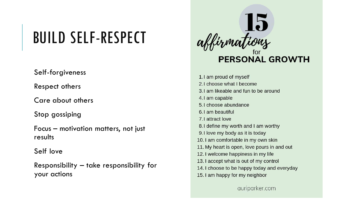## BUILD SELF-RESPECT

Self-forgiveness

Respect others

Care about others

Stop gossiping

Focus – motivation matters, not just results

Self love

Responsibility – take responsibility for your actions



1.1 am proud of myself 2.1 choose what I become 3.1 am likeable and fun to be around 4.1 am capable 5.1 choose abundance 6.1 am beautiful 7.1 attract love 8.1 define my worth and I am worthy 9.1 love my body as it is today 10. I am comfortable in my own skin 11. My heart is open, love pours in and out 12. I welcome happiness in my life 13. I accept what is out of my control 14. I choose to be happy today and everyday 15. I am happy for my neighbor

auriparker.com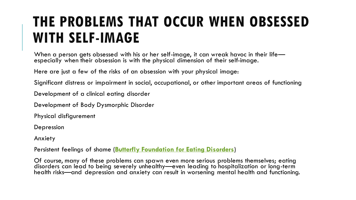### **THE PROBLEMS THAT OCCUR WHEN OBSESSED WITH SELF-IMAGE**

When a person gets obsessed with his or her self-image, it can wreak havoc in their life especially when their obsession is with the physical dimension of their self-image.

Here are just a few of the risks of an obsession with your physical image:

Significant distress or impairment in social, occupational, or other important areas of functioning

Development of a clinical eating disorder

Development of Body Dysmorphic Disorder

Physical disfigurement

Depression

Anxiety

Persistent feelings of shame (**[Butterfly Foundation for Eating Disorders](https://thebutterflyfoundation.org.au/assets/Uploads/Factsheets/Body-Obsession-Factsheet-Butterfly-Foundation.pdf)**)

Of course, many of these problems can spawn even more serious problems themselves; eating disorders can lead to being severely unhealthy—even leading to hospitalization or long-term health risks—and depression and anxiety can result in worsening mental health and functioning.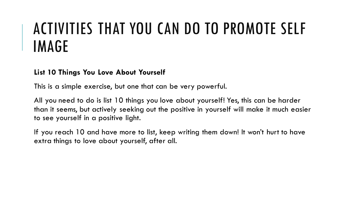## ACTIVITIES THAT YOU CAN DO TO PROMOTE SELF IMAGE

#### **List 10 Things You Love About Yourself**

This is a simple exercise, but one that can be very powerful.

All you need to do is list 10 things you love about yourself! Yes, this can be harder than it seems, but actively seeking out the positive in yourself will make it much easier to see yourself in a positive light.

If you reach 10 and have more to list, keep writing them down! It won't hurt to have extra things to love about yourself, after all.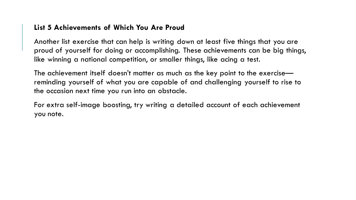#### **List 5 Achievements of Which You Are Proud**

Another list exercise that can help is writing down at least five things that you are proud of yourself for doing or accomplishing. These achievements can be big things, like winning a national competition, or smaller things, like acing a test.

The achievement itself doesn't matter as much as the key point to the exercise reminding yourself of what you are capable of and challenging yourself to rise to the occasion next time you run into an obstacle.

For extra self-image boosting, try writing a detailed account of each achievement you note.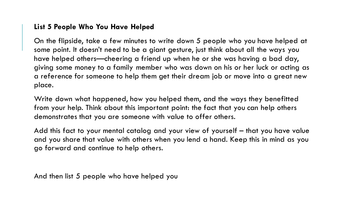#### **List 5 People Who You Have Helped**

On the flipside, take a few minutes to write down 5 people who you have helped at some point. It doesn't need to be a giant gesture, just think about all the ways you have helped others—cheering a friend up when he or she was having a bad day, giving some money to a family member who was down on his or her luck or acting as a reference for someone to help them get their dream job or move into a great new place.

Write down what happened, how you helped them, and the ways they benefitted from your help. Think about this important point: the fact that you can help others demonstrates that you are someone with value to offer others.

Add this fact to your mental catalog and your view of yourself – that you have value and you share that value with others when you lend a hand. Keep this in mind as you go forward and continue to help others.

And then list 5 people who have helped you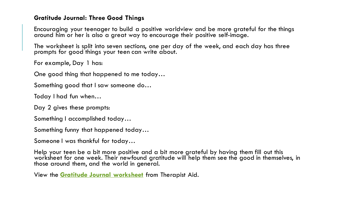#### **Gratitude Journal: Three Good Things**

Encouraging your teenager to build a positive worldview and be more grateful for the things around him or her is also a great way to encourage their positive self-image.

The worksheet is split into seven sections, one per day of the week, and each day has three prompts for good things your teen can write about.

For example, Day 1 has:

One good thing that happened to me today…

Something good that I saw someone do…

Today I had fun when…

Day 2 gives these prompts:

Something I accomplished today…

Something funny that happened today…

Someone I was thankful for today…

Help your teen be a bit more positive and a bit more grateful by having them fill out this worksheet for one week. Their newfound gratitude will help them see the good in themselves, in those around them, and the world in general.

View the **[Gratitude Journal worksheet](https://www.therapistaid.com/worksheets/gratitude-journal-three-good-things.pdf)** from Therapist Aid.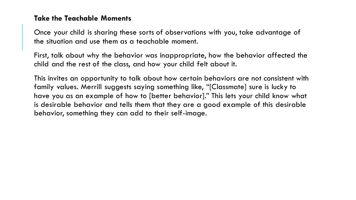#### **Take the Teachable Moments**

Once your child is sharing these sorts of observations with you, take advantage of the situation and use them as a teachable moment.

First, talk about why the behavior was inappropriate, how the behavior affected the child and the rest of the class, and how your child felt about it.

This invites an opportunity to talk about how certain behaviors are not consistent with family values. Merrill suggests saying something like, "[Classmate] sure is lucky to have you as an example of how to [better behavior]." This lets your child know what is desirable behavior and tells them that they are a good example of this desirable behavior, something they can add to their self-image.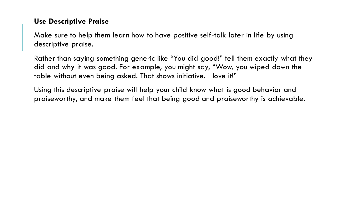#### **Use Descriptive Praise**

Make sure to help them learn how to have positive self-talk later in life by using descriptive praise.

Rather than saying something generic like "You did good!" tell them exactly what they did and why it was good. For example, you might say, "Wow, you wiped down the table without even being asked. That shows initiative. I love it!"

Using this descriptive praise will help your child know what is good behavior and praiseworthy, and make them feel that being good and praiseworthy is achievable.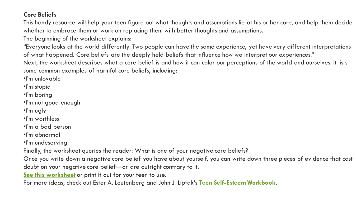#### **Core Beliefs**

This handy resource will help your teen figure out what thoughts and assumptions lie at his or her core, and help them decide whether to embrace them or work on replacing them with better thoughts and assumptions.

The beginning of the worksheet explains:

"Everyone looks at the world differently. Two people can have the same experience, yet have very different interpretations of what happened. Core beliefs are the deeply held beliefs that influence how we interpret our experiences."

Next, the worksheet describes what a core belief is and how it can color our perceptions of the world and ourselves. It lists some common examples of harmful core beliefs, including:

•I'm unlovable

•I'm stupid

•I'm boring

•I'm not good enough

•I'm ugly

•I'm worthless

•I'm a bad person

•I'm abnormal

•I'm undeserving

Finally, the worksheet queries the reader: What is one of your negative core beliefs?

Once you write down a negative core belief you have about yourself, you can write down three pieces of evidence that cast

doubt on your negative core belief—or are outright contrary to it.

**[See this worksheet](https://www.therapistaid.com/worksheets/core-beliefs.pdf)** or print it out for your teen to use.

For more ideas, check out Ester A. Leutenberg and John J. Liptak's **[Teen Self-Esteem Workbook](https://wholeperson.com/pdf/TeenSelfEsteem.pdf)**.